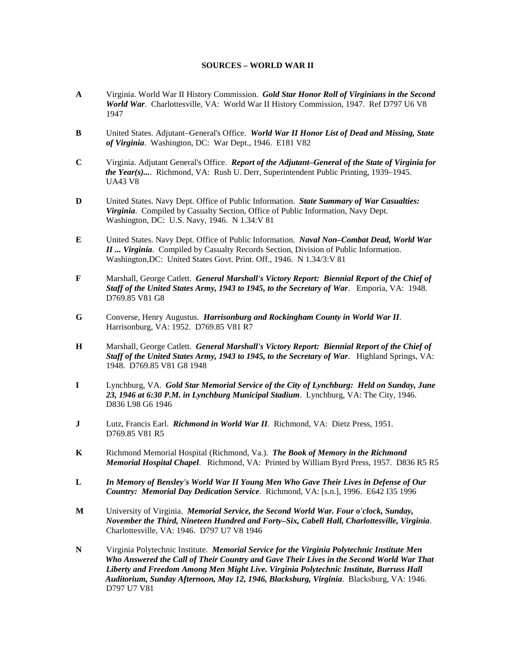## **SOURCES – WORLD WAR II**

- **A** Virginia. World War II History Commission. *Gold Star Honor Roll of Virginians in the Second World War*. Charlottesville, VA: World War II History Commission, 1947. Ref D797 U6 V8 1947
- **B** United States. Adjutant–General's Office. *World War II Honor List of Dead and Missing, State of Virginia*. Washington, DC: War Dept., 1946. E181 V82
- **C** Virginia. Adjutant General's Office. *Report of the Adjutant–General of the State of Virginia for the Year(s)...*. Richmond, VA: Rush U. Derr, Superintendent Public Printing, 1939–1945. UA43 V8
- **D** United States. Navy Dept. Office of Public Information. *State Summary of War Casualties: Virginia*. Compiled by Casualty Section, Office of Public Information, Navy Dept. Washington, DC: U.S. Navy, 1946. N 1.34:V 81
- **E** United States. Navy Dept. Office of Public Information. *Naval Non–Combat Dead, World War II ... Virginia*. Compiled by Casualty Records Section, Division of Public Information. Washington,DC: United States Govt. Print. Off., 1946. N 1.34/3:V 81
- **F** Marshall, George Catlett. *General Marshall's Victory Report: Biennial Report of the Chief of Staff of the United States Army, 1943 to 1945, to the Secretary of War*. Emporia, VA: 1948. D769.85 V81 G8
- **G** Converse, Henry Augustus. *Harrisonburg and Rockingham County in World War II*. Harrisonburg, VA: 1952. D769.85 V81 R7
- **H** Marshall, George Catlett. *General Marshall's Victory Report: Biennial Report of the Chief of Staff of the United States Army, 1943 to 1945, to the Secretary of War*. Highland Springs, VA: 1948. D769.85 V81 G8 1948
- **I** Lynchburg, VA. *Gold Star Memorial Service of the City of Lynchburg: Held on Sunday, June 23, 1946 at 6:30 P.M. in Lynchburg Municipal Stadium*. Lynchburg, VA: The City, 1946. D836 L98 G6 1946
- **J** Lutz, Francis Earl. *Richmond in World War II*. Richmond, VA: Dietz Press, 1951. D769.85 V81 R5
- **K** Richmond Memorial Hospital (Richmond, Va.). *The Book of Memory in the Richmond Memorial Hospital Chapel*. Richmond, VA: Printed by William Byrd Press, 1957. D836 R5 R5
- **L** *In Memory of Bensley's World War II Young Men Who Gave Their Lives in Defense of Our Country: Memorial Day Dedication Service*. Richmond, VA: [s.n.], 1996. E642 I35 1996
- **M** University of Virginia. *Memorial Service, the Second World War. Four o'clock, Sunday, November the Third, Nineteen Hundred and Forty–Six, Cabell Hall, Charlottesville, Virginia*. Charlottesville, VA: 1946. D797 U7 V8 1946
- **N** Virginia Polytechnic Institute. *Memorial Service for the Virginia Polytechnic Institute Men Who Answered the Call of Their Country and Gave Their Lives in the Second World War That Liberty and Freedom Among Men Might Live. Virginia Polytechnic Institute, Burruss Hall Auditorium, Sunday Afternoon, May 12, 1946, Blacksburg, Virginia*. Blacksburg, VA: 1946. D797 U7 V81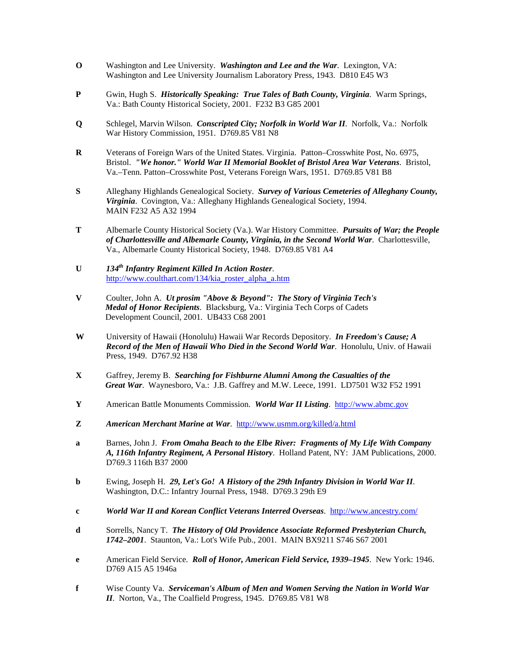- **O** Washington and Lee University. *Washington and Lee and the War*. Lexington, VA: Washington and Lee University Journalism Laboratory Press, 1943. D810 E45 W3
- **P** Gwin, Hugh S. *Historically Speaking: True Tales of Bath County, Virginia*. Warm Springs, Va.: Bath County Historical Society, 2001. F232 B3 G85 2001
- **Q** Schlegel, Marvin Wilson. *Conscripted City; Norfolk in World War II*. Norfolk, Va.: Norfolk War History Commission, 1951. D769.85 V81 N8
- **R** Veterans of Foreign Wars of the United States. Virginia. Patton–Crosswhite Post, No. 6975, Bristol. *"We honor." World War II Memorial Booklet of Bristol Area War Veterans*. Bristol, Va.–Tenn. Patton–Crosswhite Post, Veterans Foreign Wars, 1951. D769.85 V81 B8
- **S** Alleghany Highlands Genealogical Society. *Survey of Various Cemeteries of Alleghany County, Virginia*. Covington, Va.: Alleghany Highlands Genealogical Society, 1994. MAIN F232 A5 A32 1994
- **T** Albemarle County Historical Society (Va.). War History Committee. *Pursuits of War; the People of Charlottesville and Albemarle County, Virginia, in the Second World War*. Charlottesville, Va., Albemarle County Historical Society, 1948. D769.85 V81 A4
- **U** *134th Infantry Regiment Killed In Action Roster*. [http://www.coulthart.com/134/kia\\_roster\\_alpha\\_a.htm](http://www.coulthart.com/134/kia_roster_alpha_a.htm)
- **V** Coulter, John A. *Ut prosim "Above & Beyond": The Story of Virginia Tech's Medal of Honor Recipients*. Blacksburg, Va.: Virginia Tech Corps of Cadets Development Council, 2001. UB433 C68 2001
- **W** University of Hawaii (Honolulu) Hawaii War Records Depository. *In Freedom's Cause; A Record of the Men of Hawaii Who Died in the Second World War*. Honolulu, Univ. of Hawaii Press, 1949. D767.92 H38
- **X** Gaffrey, Jeremy B. *Searching for Fishburne Alumni Among the Casualties of the Great War*. Waynesboro, Va.: J.B. Gaffrey and M.W. Leece, 1991. LD7501 W32 F52 1991
- **Y** American Battle Monuments Commission. *World War II Listing*. [http://www.abmc.gov](http://www.abmc.gov/)
- **Z** *American Merchant Marine at War*.<http://www.usmm.org/killed/a.html>
- **a** Barnes, John J. *From Omaha Beach to the Elbe River: Fragments of My Life With Company A, 116th Infantry Regiment, A Personal History*. Holland Patent, NY: JAM Publications, 2000. D769.3 116th B37 2000
- **b** Ewing, Joseph H. *29, Let's Go! A History of the 29th Infantry Division in World War II*. Washington, D.C.: Infantry Journal Press, 1948. D769.3 29th E9
- **c** *World War II and Korean Conflict Veterans Interred Overseas*. <http://www.ancestry.com/>
- **d** Sorrells, Nancy T. *The History of Old Providence Associate Reformed Presbyterian Church, 1742–2001*. Staunton, Va.: Lot's Wife Pub., 2001. MAIN BX9211 S746 S67 2001
- **e** American Field Service. *Roll of Honor, American Field Service, 1939–1945*. New York: 1946. D769 A15 A5 1946a
- **f** Wise County Va. *Serviceman's Album of Men and Women Serving the Nation in World War II*. Norton, Va., The Coalfield Progress, 1945. D769.85 V81 W8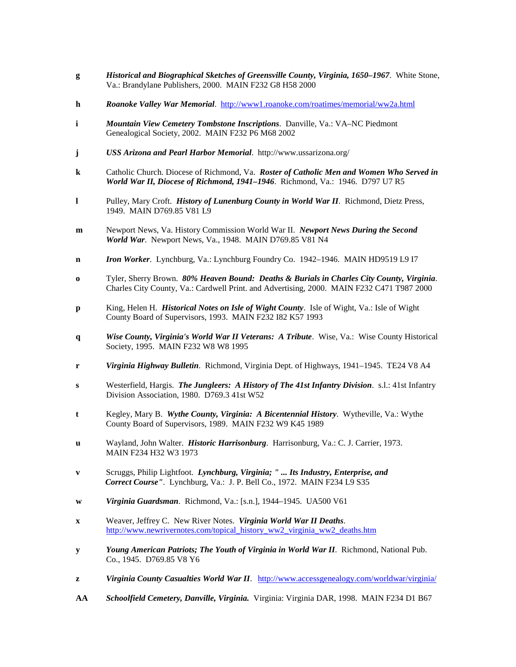- **g** *Historical and Biographical Sketches of Greensville County, Virginia, 1650–1967*. White Stone, Va.: Brandylane Publishers, 2000. MAIN F232 G8 H58 2000
- **h** *Roanoke Valley War Memorial*. <http://www1.roanoke.com/roatimes/memorial/ww2a.html>
- **i** *Mountain View Cemetery Tombstone Inscriptions*. Danville, Va.: VA–NC Piedmont Genealogical Society, 2002. MAIN F232 P6 M68 2002
- **j** *USS Arizona and Pearl Harbor Memorial*. http://www.ussarizona.org/
- **k** Catholic Church. Diocese of Richmond, Va. *Roster of Catholic Men and Women Who Served in World War II, Diocese of Richmond, 1941–1946*. Richmond, Va.: 1946. D797 U7 R5
- **l** Pulley, Mary Croft. *History of Lunenburg County in World War II*. Richmond, Dietz Press, 1949. MAIN D769.85 V81 L9
- **m** Newport News, Va. History Commission World War II. *Newport News During the Second World War*. Newport News, Va., 1948. MAIN D769.85 V81 N4
- **n** *Iron Worker*. Lynchburg, Va.: Lynchburg Foundry Co. 1942–1946. MAIN HD9519 L9 I7
- **o** Tyler, Sherry Brown. *80% Heaven Bound: Deaths & Burials in Charles City County, Virginia*. Charles City County, Va.: Cardwell Print. and Advertising, 2000. MAIN F232 C471 T987 2000
- **p** King, Helen H. *Historical Notes on Isle of Wight County*. Isle of Wight, Va.: Isle of Wight County Board of Supervisors, 1993. MAIN F232 I82 K57 1993
- **q** *Wise County, Virginia's World War II Veterans: A Tribute*. Wise, Va.: Wise County Historical Society, 1995. MAIN F232 W8 W8 1995
- **r** *Virginia Highway Bulletin*. Richmond, Virginia Dept. of Highways, 1941–1945. TE24 V8 A4
- **s** Westerfield, Hargis. *The Jungleers: A History of The 41st Infantry Division*. s.l.: 41st Infantry Division Association, 1980. D769.3 41st W52
- **t** Kegley, Mary B. *Wythe County, Virginia: A Bicentennial History*. Wytheville, Va.: Wythe County Board of Supervisors, 1989. MAIN F232 W9 K45 1989
- **u** Wayland, John Walter. *Historic Harrisonburg*. Harrisonburg, Va.: C. J. Carrier, 1973. MAIN F234 H32 W3 1973
- **v** Scruggs, Philip Lightfoot. *Lynchburg, Virginia; " ... Its Industry, Enterprise, and Correct Course"*. Lynchburg, Va.: J. P. Bell Co., 1972. MAIN F234 L9 S35
- **w** *Virginia Guardsman*. Richmond, Va.: [s.n.], 1944–1945. UA500 V61
- **x** Weaver, Jeffrey C. New River Notes. *Virginia World War II Deaths*. [http://www.newrivernotes.com/topical\\_history\\_ww2\\_virginia\\_ww2\\_deaths.htm](https://webmail.vita.virginia.gov/OWA/redir.aspx?C=RnDz2dbnfES60oZdVbcxIKxZ4v9rpdEI67Fkg05_BA7jbdNebNccQOrKnTfiQf4JIetrjSobkfA.&URL=http%3a%2f%2fwww.newrivernotes.com%2ftopical_history_ww2_virginia_ww2_deaths.htm)
- **y** *Young American Patriots; The Youth of Virginia in World War II*. Richmond, National Pub. Co., 1945. D769.85 V8 Y6
- **z** *Virginia County Casualties World War II*. <http://www.accessgenealogy.com/worldwar/virginia/>
- **AA** *Schoolfield Cemetery, Danville, Virginia.* Virginia: Virginia DAR, 1998. MAIN F234 D1 B67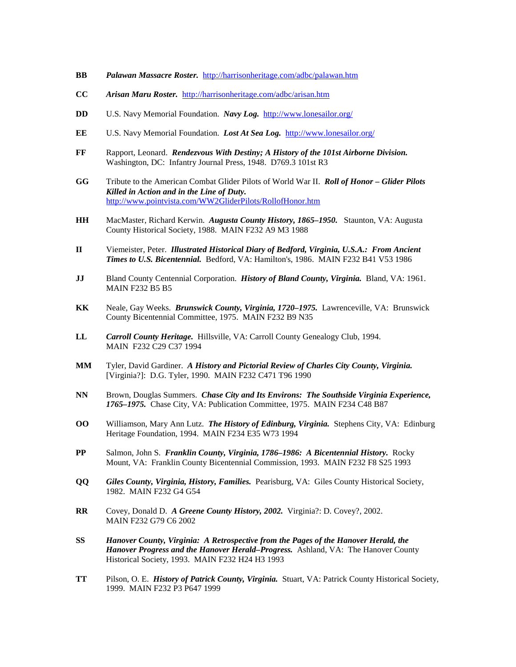- **BB** *Palawan Massacre Roster.*<http://harrisonheritage.com/adbc/palawan.htm>
- **CC** *Arisan Maru Roster.* <http://harrisonheritage.com/adbc/arisan.htm>
- **DD** U.S. Navy Memorial Foundation. *Navy Log.*<http://www.lonesailor.org/>
- **EE** U.S. Navy Memorial Foundation. *Lost At Sea Log.* <http://www.lonesailor.org/>
- **FF** Rapport, Leonard. *Rendezvous With Destiny; A History of the 101st Airborne Division.* Washington, DC: Infantry Journal Press, 1948. D769.3 101st R3
- **GG** Tribute to the American Combat Glider Pilots of World War II. *Roll of Honor – Glider Pilots Killed in Action and in the Line of Duty.* <http://www.pointvista.com/WW2GliderPilots/RollofHonor.htm>
- **HH** MacMaster, Richard Kerwin. *Augusta County History, 1865–1950.* Staunton, VA: Augusta County Historical Society, 1988. MAIN F232 A9 M3 1988
- **II** Viemeister, Peter. *Illustrated Historical Diary of Bedford, Virginia, U.S.A.: From Ancient Times to U.S. Bicentennial.* Bedford, VA: Hamilton's, 1986. MAIN F232 B41 V53 1986
- **JJ** Bland County Centennial Corporation. *History of Bland County, Virginia.* Bland, VA: 1961. MAIN F232 B5 B5
- **KK** Neale, Gay Weeks. *Brunswick County, Virginia, 1720–1975.* Lawrenceville, VA: Brunswick County Bicentennial Committee, 1975. MAIN F232 B9 N35
- **LL** *Carroll County Heritage.* Hillsville, VA: Carroll County Genealogy Club, 1994. MAIN F232 C29 C37 1994
- **MM** Tyler, David Gardiner. *A History and Pictorial Review of Charles City County, Virginia.* [Virginia?]: D.G. Tyler, 1990. MAIN F232 C471 T96 1990
- **NN** Brown, Douglas Summers. *Chase City and Its Environs: The Southside Virginia Experience, 1765–1975.* Chase City, VA: Publication Committee, 1975. MAIN F234 C48 B87
- **OO** Williamson, Mary Ann Lutz. *The History of Edinburg, Virginia.* Stephens City, VA: Edinburg Heritage Foundation, 1994. MAIN F234 E35 W73 1994
- **PP** Salmon, John S. *Franklin County, Virginia, 1786–1986: A Bicentennial History.* Rocky Mount, VA: Franklin County Bicentennial Commission, 1993. MAIN F232 F8 S25 1993
- **QQ** *Giles County, Virginia, History, Families.* Pearisburg, VA: Giles County Historical Society, 1982. MAIN F232 G4 G54
- **RR** Covey, Donald D. *A Greene County History, 2002.* Virginia?: D. Covey?, 2002. MAIN F232 G79 C6 2002
- **SS** *Hanover County, Virginia: A Retrospective from the Pages of the Hanover Herald, the Hanover Progress and the Hanover Herald–Progress.* Ashland, VA: The Hanover County Historical Society, 1993. MAIN F232 H24 H3 1993
- **TT** Pilson, O. E. *History of Patrick County, Virginia.* Stuart, VA: Patrick County Historical Society, 1999. MAIN F232 P3 P647 1999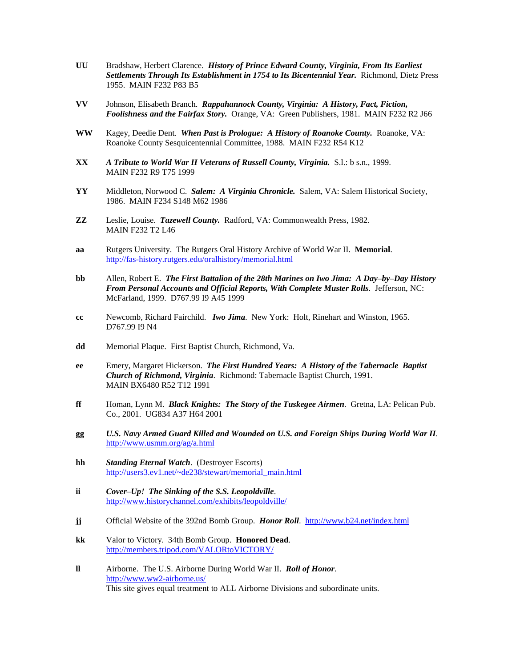- **UU** Bradshaw, Herbert Clarence. *History of Prince Edward County, Virginia, From Its Earliest Settlements Through Its Establishment in 1754 to Its Bicentennial Year.* Richmond, Dietz Press 1955. MAIN F232 P83 B5
- **VV** Johnson, Elisabeth Branch. *Rappahannock County, Virginia: A History, Fact, Fiction, Foolishness and the Fairfax Story.* Orange, VA: Green Publishers, 1981. MAIN F232 R2 J66
- **WW** Kagey, Deedie Dent. *When Past is Prologue: A History of Roanoke County.* Roanoke, VA: Roanoke County Sesquicentennial Committee, 1988. MAIN F232 R54 K12
- **XX** *A Tribute to World War II Veterans of Russell County, Virginia.* S.l.: b s.n., 1999. MAIN F232 R9 T75 1999
- **YY** Middleton, Norwood C. *Salem: A Virginia Chronicle.* Salem, VA: Salem Historical Society, 1986. MAIN F234 S148 M62 1986
- **ZZ** Leslie, Louise. *Tazewell County.* Radford, VA: Commonwealth Press, 1982. MAIN F232 T2 L46
- **aa** Rutgers University.The Rutgers Oral History Archive of World War II. **Memorial**. <http://fas-history.rutgers.edu/oralhistory/memorial.html>
- **bb** Allen, Robert E. *The First Battalion of the 28th Marines on Iwo Jima: A Day–by–Day History From Personal Accounts and Official Reports, With Complete Muster Rolls*. Jefferson, NC: McFarland, 1999. D767.99 I9 A45 1999
- **cc** Newcomb, Richard Fairchild. *Iwo Jima*. New York: Holt, Rinehart and Winston, 1965. D767.99 I9 N4
- **dd** Memorial Plaque. First Baptist Church, Richmond, Va.
- **ee** Emery, Margaret Hickerson. *The First Hundred Years: A History of the Tabernacle Baptist Church of Richmond, Virginia*. Richmond: Tabernacle Baptist Church, 1991. MAIN BX6480 R52 T12 1991
- **ff** Homan, Lynn M. *Black Knights: The Story of the Tuskegee Airmen*. Gretna, LA: Pelican Pub. Co., 2001. UG834 A37 H64 2001
- **gg** *U.S. Navy Armed Guard Killed and Wounded on U.S. and Foreign Ships During World War II*. <http://www.usmm.org/ag/a.html>
- **hh** *Standing Eternal Watch*. (Destroyer Escorts) [http://users3.ev1.net/~de238/stewart/memorial\\_main.html](http://users3.ev1.net/~de238/stewart/memorial_main.html)
- **ii** *Cover–Up! The Sinking of the S.S. Leopoldville*. <http://www.historychannel.com/exhibits/leopoldville/>
- **jj** Official Website of the 392nd Bomb Group. *Honor Roll*. <http://www.b24.net/index.html>
- **kk** Valor to Victory. 34th Bomb Group. **Honored Dead**. <http://members.tripod.com/VALORtoVICTORY/>
- **ll** Airborne. The U.S. Airborne During World War II. *Roll of Honor*. <http://www.ww2-airborne.us/> This site gives equal treatment to ALL Airborne Divisions and subordinate units.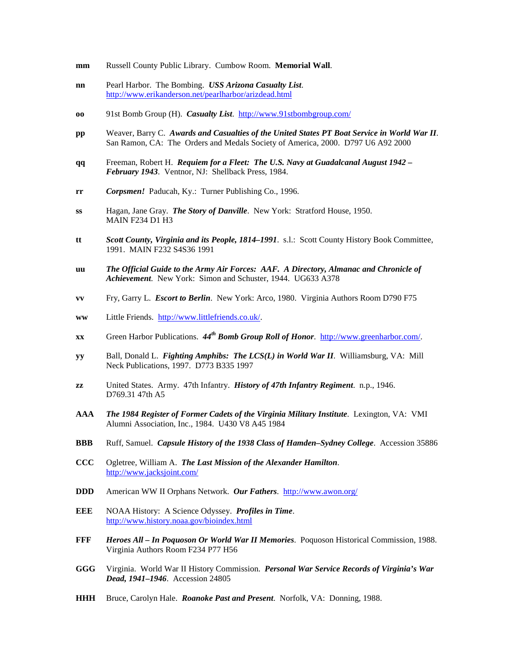- **mm** Russell County Public Library. Cumbow Room. **Memorial Wall**.
- **nn** Pearl Harbor. The Bombing. *USS Arizona Casualty List*. <http://www.erikanderson.net/pearlharbor/arizdead.html>
- **oo** 91st Bomb Group (H). *Casualty List*. <http://www.91stbombgroup.com/>
- **pp** Weaver, Barry C. *Awards and Casualties of the United States PT Boat Service in World War II*. San Ramon, CA: The Orders and Medals Society of America, 2000. D797 U6 A92 2000
- **qq** Freeman, Robert H. *Requiem for a Fleet: The U.S. Navy at Guadalcanal August 1942 – February 1943*. Ventnor, NJ: Shellback Press, 1984.
- **rr** *Corpsmen!* Paducah, Ky.: Turner Publishing Co., 1996.
- **ss** Hagan, Jane Gray. *The Story of Danville*. New York: Stratford House, 1950. MAIN F234 D1 H3
- **tt** *Scott County, Virginia and its People, 1814–1991*. s.l.: Scott County History Book Committee, 1991. MAIN F232 S4S36 1991
- **uu** *The Official Guide to the Army Air Forces: AAF. A Directory, Almanac and Chronicle of Achievement*. New York: Simon and Schuster, 1944. UG633 A378
- **vv** Fry, Garry L. *Escort to Berlin*. New York: Arco, 1980. Virginia Authors Room D790 F75
- **ww** Little Friends. [http://www.littlefriends.co.uk/.](http://www.littlefriends.co.uk/)
- **xx** Green Harbor Publications.  $44<sup>th</sup>$  *Bomb Group Roll of Honor*. [http://www.greenharbor.com/.](http://www.greenharbor.com/)
- **yy** Ball, Donald L. *Fighting Amphibs: The LCS(L) in World War II*. Williamsburg, VA: Mill Neck Publications, 1997. D773 B335 1997
- **zz** United States. Army. 47th Infantry. *History of 47th Infantry Regiment*. n.p., 1946. D769.31 47th A5
- **AAA** *The 1984 Register of Former Cadets of the Virginia Military Institute*. Lexington, VA: VMI Alumni Association, Inc., 1984. U430 V8 A45 1984
- **BBB** Ruff, Samuel. *Capsule History of the 1938 Class of Hamden–Sydney College*. Accession 35886
- **CCC** Ogletree, William A. *The Last Mission of the Alexander Hamilton*. <http://www.jacksjoint.com/>
- **DDD** American WW II Orphans Network. *Our Fathers*. <http://www.awon.org/>
- **EEE** NOAA History: A Science Odyssey. *Profiles in Time*. <http://www.history.noaa.gov/bioindex.html>
- **FFF** *Heroes All – In Poquoson Or World War II Memories*. Poquoson Historical Commission, 1988. Virginia Authors Room F234 P77 H56
- **GGG** Virginia. World War II History Commission. *Personal War Service Records of Virginia's War Dead, 1941–1946*. Accession 24805
- **HHH** Bruce, Carolyn Hale. *Roanoke Past and Present*. Norfolk, VA: Donning, 1988.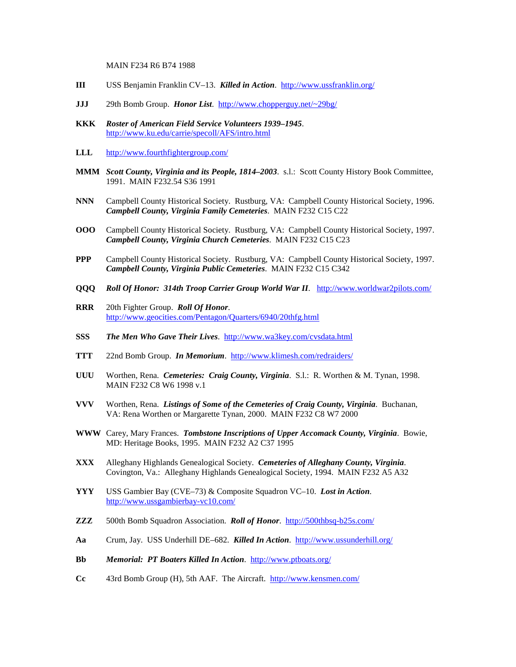MAIN F234 R6 B74 1988

- **III** USS Benjamin Franklin CV–13. *Killed in Action*. <http://www.ussfranklin.org/>
- **JJJ** 29th Bomb Group. *Honor List*. <http://www.chopperguy.net/~29bg/>
- **KKK** *Roster of American Field Service Volunteers 1939–1945*. <http://www.ku.edu/carrie/specoll/AFS/intro.html>
- **LLL** <http://www.fourthfightergroup.com/>
- **MMM** *Scott County, Virginia and its People, 1814–2003*. s.l.: Scott County History Book Committee, 1991. MAIN F232.54 S36 1991
- **NNN** Campbell County Historical Society. Rustburg, VA: Campbell County Historical Society, 1996. *Campbell County, Virginia Family Cemeteries*. MAIN F232 C15 C22
- **OOO** Campbell County Historical Society. Rustburg, VA: Campbell County Historical Society, 1997. *Campbell County, Virginia Church Cemeteries*. MAIN F232 C15 C23
- **PPP** Campbell County Historical Society. Rustburg, VA: Campbell County Historical Society, 1997. *Campbell County, Virginia Public Cemeteries*. MAIN F232 C15 C342
- **QQQ** *Roll Of Honor: 314th Troop Carrier Group World War II*. <http://www.worldwar2pilots.com/>
- **RRR** 20th Fighter Group. *Roll Of Honor*. <http://www.geocities.com/Pentagon/Quarters/6940/20thfg.html>
- **SSS** *The Men Who Gave Their Lives*. <http://www.wa3key.com/cvsdata.html>
- **TTT** 22nd Bomb Group. *In Memorium*. <http://www.klimesh.com/redraiders/>
- **UUU** Worthen, Rena. *Cemeteries: Craig County, Virginia*. S.l.: R. Worthen & M. Tynan, 1998. MAIN F232 C8 W6 1998 v.1
- **VVV** Worthen, Rena. *Listings of Some of the Cemeteries of Craig County, Virginia*. Buchanan, VA: Rena Worthen or Margarette Tynan, 2000. MAIN F232 C8 W7 2000
- **WWW** Carey, Mary Frances. *Tombstone Inscriptions of Upper Accomack County, Virginia*. Bowie, MD: Heritage Books, 1995. MAIN F232 A2 C37 1995
- **XXX** Alleghany Highlands Genealogical Society. *Cemeteries of Alleghany County, Virginia*. Covington, Va.: Alleghany Highlands Genealogical Society, 1994. MAIN F232 A5 A32
- **YYY** USS Gambier Bay (CVE–73) & Composite Squadron VC–10. *Lost in Action*. <http://www.ussgambierbay-vc10.com/>
- **ZZZ** 500th Bomb Squadron Association. *Roll of Honor*. <http://500thbsq-b25s.com/>
- **Aa** Crum, Jay. USS Underhill DE–682. *Killed In Action*.<http://www.ussunderhill.org/>
- **Bb** *Memorial: PT Boaters Killed In Action*. <http://www.ptboats.org/>
- **Cc** 43rd Bomb Group (H), 5th AAF. The Aircraft.<http://www.kensmen.com/>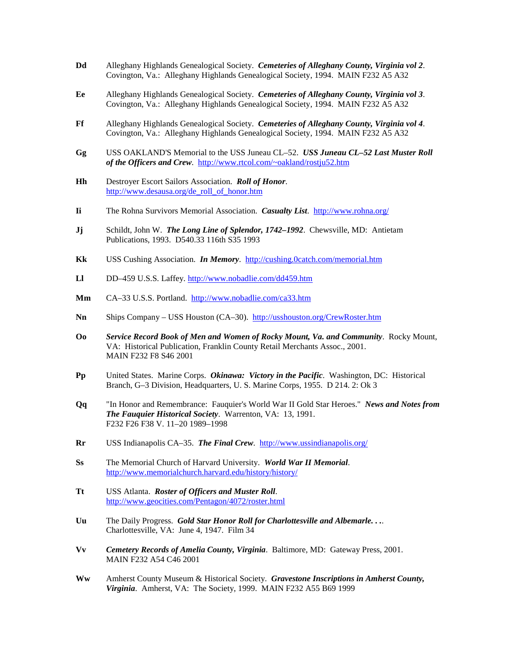- **Dd** Alleghany Highlands Genealogical Society. *Cemeteries of Alleghany County, Virginia vol 2*. Covington, Va.: Alleghany Highlands Genealogical Society, 1994. MAIN F232 A5 A32
- **Ee** Alleghany Highlands Genealogical Society. *Cemeteries of Alleghany County, Virginia vol 3*. Covington, Va.: Alleghany Highlands Genealogical Society, 1994. MAIN F232 A5 A32
- **Ff** Alleghany Highlands Genealogical Society. *Cemeteries of Alleghany County, Virginia vol 4*. Covington, Va.: Alleghany Highlands Genealogical Society, 1994. MAIN F232 A5 A32
- **Gg** USS OAKLAND'S Memorial to the USS Juneau CL–52. *USS Juneau CL–52 Last Muster Roll of the Officers and Crew*. <http://www.rtcol.com/~oakland/rostju52.htm>
- **Hh** Destroyer Escort Sailors Association. *Roll of Honor*. [http://www.desausa.org/de\\_roll\\_of\\_honor.htm](http://www.desausa.org/de_roll_of_honor.htm)
- **Ii** The Rohna Survivors Memorial Association. *Casualty List*. <http://www.rohna.org/>
- **Jj** Schildt, John W. *The Long Line of Splendor, 1742–1992*. Chewsville, MD: Antietam Publications, 1993. D540.33 116th S35 1993
- **Kk** USS Cushing Association. *In Memory*. <http://cushing.0catch.com/memorial.htm>
- **Ll** DD–459 U.S.S. Laffey.<http://www.nobadlie.com/dd459.htm>
- **Mm** CA–33 U.S.S. Portland. <http://www.nobadlie.com/ca33.htm>
- **Nn** Ships Company USS Houston (CA–30). <http://usshouston.org/CrewRoster.htm>
- **Oo** *Service Record Book of Men and Women of Rocky Mount, Va. and Community*. Rocky Mount, VA: Historical Publication, Franklin County Retail Merchants Assoc., 2001. MAIN F232 F8 S46 2001
- **Pp** United States. Marine Corps. *Okinawa: Victory in the Pacific*. Washington, DC: Historical Branch, G–3 Division, Headquarters, U. S. Marine Corps, 1955. D 214. 2: Ok 3
- **Qq** "In Honor and Remembrance: Fauquier's World War II Gold Star Heroes." *News and Notes from The Fauquier Historical Society*. Warrenton, VA: 13, 1991. F232 F26 F38 V. 11–20 1989–1998
- **Rr** USS Indianapolis CA–35. *The Final Crew*. <http://www.ussindianapolis.org/>
- **Ss** The Memorial Church of Harvard University. *World War II Memorial*. <http://www.memorialchurch.harvard.edu/history/history/>
- **Tt** USS Atlanta. *Roster of Officers and Muster Roll*. <http://www.geocities.com/Pentagon/4072/roster.html>
- **Uu** The Daily Progress. *Gold Star Honor Roll for Charlottesville and Albemarle. . .*. Charlottesville, VA: June 4, 1947. Film 34
- **Vv** *Cemetery Records of Amelia County, Virginia*. Baltimore, MD: Gateway Press, 2001. MAIN F232 A54 C46 2001
- **Ww** Amherst County Museum & Historical Society. *Gravestone Inscriptions in Amherst County, Virginia*. Amherst, VA: The Society, 1999. MAIN F232 A55 B69 1999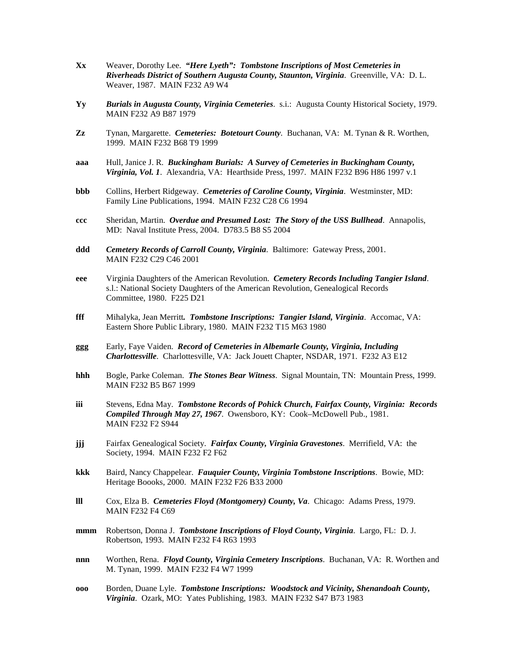- **Xx** Weaver, Dorothy Lee. *"Here Lyeth": Tombstone Inscriptions of Most Cemeteries in Riverheads District of Southern Augusta County, Staunton, Virginia*. Greenville, VA: D. L. Weaver, 1987. MAIN F232 A9 W4
- **Yy** *Burials in Augusta County, Virginia Cemeteries*. s.i.: Augusta County Historical Society, 1979. MAIN F232 A9 B87 1979
- **Zz** Tynan, Margarette. *Cemeteries: Botetourt County*. Buchanan, VA: M. Tynan & R. Worthen, 1999. MAIN F232 B68 T9 1999
- **aaa** Hull, Janice J. R. *Buckingham Burials: A Survey of Cemeteries in Buckingham County, Virginia, Vol. 1*. Alexandria, VA: Hearthside Press, 1997. MAIN F232 B96 H86 1997 v.1
- **bbb** Collins, Herbert Ridgeway. *Cemeteries of Caroline County, Virginia*. Westminster, MD: Family Line Publications, 1994. MAIN F232 C28 C6 1994
- **ccc** Sheridan, Martin. *Overdue and Presumed Lost: The Story of the USS Bullhead*. Annapolis, MD: Naval Institute Press, 2004. D783.5 B8 S5 2004
- **ddd** *Cemetery Records of Carroll County, Virginia*. Baltimore: Gateway Press, 2001. MAIN F232 C29 C46 2001
- **eee** Virginia Daughters of the American Revolution. *Cemetery Records Including Tangier Island*. s.l.: National Society Daughters of the American Revolution, Genealogical Records Committee, 1980. F225 D21
- **fff** Mihalyka, Jean Merritt*. Tombstone Inscriptions: Tangier Island, Virginia*. Accomac, VA: Eastern Shore Public Library, 1980. MAIN F232 T15 M63 1980
- **ggg** Early, Faye Vaiden. *Record of Cemeteries in Albemarle County, Virginia, Including Charlottesville*. Charlottesville, VA: Jack Jouett Chapter, NSDAR, 1971. F232 A3 E12
- **hhh** Bogle, Parke Coleman. *The Stones Bear Witness*. Signal Mountain, TN: Mountain Press, 1999. MAIN F232 B5 B67 1999
- **iii** Stevens, Edna May. *Tombstone Records of Pohick Church, Fairfax County, Virginia: Records Compiled Through May 27, 1967*. Owensboro, KY: Cook–McDowell Pub., 1981. MAIN F232 F2 S944
- **jjj** Fairfax Genealogical Society. *Fairfax County, Virginia Gravestones*. Merrifield, VA: the Society, 1994. MAIN F232 F2 F62
- **kkk** Baird, Nancy Chappelear. *Fauquier County, Virginia Tombstone Inscriptions*. Bowie, MD: Heritage Boooks, 2000. MAIN F232 F26 B33 2000
- **lll** Cox, Elza B. *Cemeteries Floyd (Montgomery) County, Va*. Chicago: Adams Press, 1979. MAIN F232 F4 C69
- **mmm** Robertson, Donna J. *Tombstone Inscriptions of Floyd County, Virginia*. Largo, FL: D. J. Robertson, 1993. MAIN F232 F4 R63 1993
- **nnn** Worthen, Rena. *Floyd County, Virginia Cemetery Inscriptions*. Buchanan, VA: R. Worthen and M. Tynan, 1999. MAIN F232 F4 W7 1999
- **ooo** Borden, Duane Lyle. *Tombstone Inscriptions: Woodstock and Vicinity, Shenandoah County, Virginia*. Ozark, MO: Yates Publishing, 1983. MAIN F232 S47 B73 1983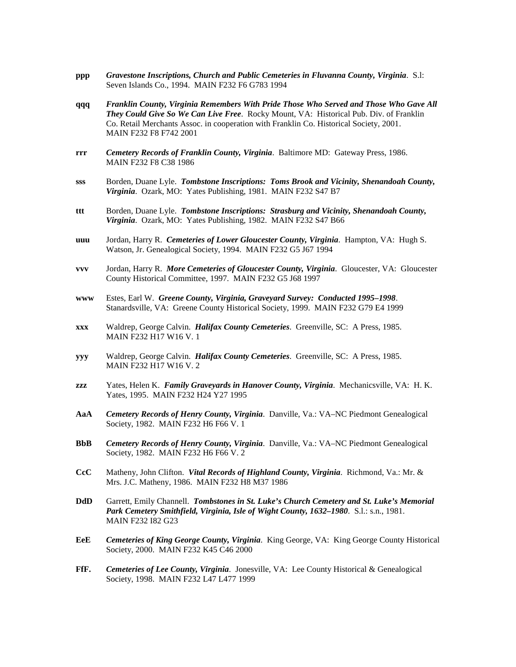- **ppp** *Gravestone Inscriptions, Church and Public Cemeteries in Fluvanna County, Virginia*. S.l: Seven Islands Co., 1994. MAIN F232 F6 G783 1994
- **qqq** *Franklin County, Virginia Remembers With Pride Those Who Served and Those Who Gave All They Could Give So We Can Live Free*. Rocky Mount, VA: Historical Pub. Div. of Franklin Co. Retail Merchants Assoc. in cooperation with Franklin Co. Historical Society, 2001. MAIN F232 F8 F742 2001
- **rrr** *Cemetery Records of Franklin County, Virginia*. Baltimore MD: Gateway Press, 1986. MAIN F232 F8 C38 1986
- **sss** Borden, Duane Lyle. *Tombstone Inscriptions: Toms Brook and Vicinity, Shenandoah County, Virginia*. Ozark, MO: Yates Publishing, 1981. MAIN F232 S47 B7
- **ttt** Borden, Duane Lyle. *Tombstone Inscriptions: Strasburg and Vicinity, Shenandoah County, Virginia*. Ozark, MO: Yates Publishing, 1982. MAIN F232 S47 B66
- **uuu** Jordan, Harry R. *Cemeteries of Lower Gloucester County, Virginia*. Hampton, VA: Hugh S. Watson, Jr. Genealogical Society, 1994. MAIN F232 G5 J67 1994
- **vvv** Jordan, Harry R. *More Cemeteries of Gloucester County, Virginia*. Gloucester, VA: Gloucester County Historical Committee, 1997. MAIN F232 G5 J68 1997
- **www** Estes, Earl W. *Greene County, Virginia, Graveyard Survey: Conducted 1995–1998*. Stanardsville, VA: Greene County Historical Society, 1999. MAIN F232 G79 E4 1999
- **xxx** Waldrep, George Calvin. *Halifax County Cemeteries*. Greenville, SC: A Press, 1985. MAIN F232 H17 W16 V. 1
- **yyy** Waldrep, George Calvin. *Halifax County Cemeteries*. Greenville, SC: A Press, 1985. MAIN F232 H17 W16 V. 2
- **zzz** Yates, Helen K. *Family Graveyards in Hanover County, Virginia*. Mechanicsville, VA: H. K. Yates, 1995. MAIN F232 H24 Y27 1995
- **AaA** *Cemetery Records of Henry County, Virginia*. Danville, Va.: VA–NC Piedmont Genealogical Society, 1982. MAIN F232 H6 F66 V. 1
- **BbB** *Cemetery Records of Henry County, Virginia*. Danville, Va.: VA–NC Piedmont Genealogical Society, 1982. MAIN F232 H6 F66 V. 2
- **CcC** Matheny, John Clifton. *Vital Records of Highland County, Virginia*. Richmond, Va.: Mr. & Mrs. J.C. Matheny, 1986. MAIN F232 H8 M37 1986
- **DdD** Garrett, Emily Channell. *Tombstones in St. Luke's Church Cemetery and St. Luke's Memorial Park Cemetery Smithfield, Virginia, Isle of Wight County, 1632–1980*. S.l.: s.n., 1981. MAIN F232 I82 G23
- **EeE** *Cemeteries of King George County, Virginia*. King George, VA: King George County Historical Society, 2000. MAIN F232 K45 C46 2000
- **FfF.** *Cemeteries of Lee County, Virginia*. Jonesville, VA: Lee County Historical & Genealogical Society, 1998. MAIN F232 L47 L477 1999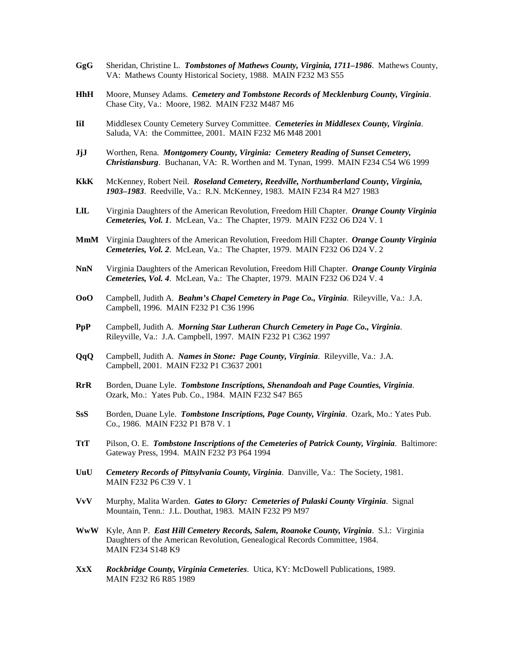- **GgG** Sheridan, Christine L. *Tombstones of Mathews County, Virginia, 1711–1986*. Mathews County, VA: Mathews County Historical Society, 1988. MAIN F232 M3 S55
- **HhH** Moore, Munsey Adams. *Cemetery and Tombstone Records of Mecklenburg County, Virginia*. Chase City, Va.: Moore, 1982. MAIN F232 M487 M6
- **IiI** Middlesex County Cemetery Survey Committee. *Cemeteries in Middlesex County, Virginia*. Saluda, VA: the Committee, 2001. MAIN F232 M6 M48 2001
- **JjJ** Worthen, Rena. *Montgomery County, Virginia: Cemetery Reading of Sunset Cemetery, Christiansburg*. Buchanan, VA: R. Worthen and M. Tynan, 1999. MAIN F234 C54 W6 1999
- **KkK** McKenney, Robert Neil. *Roseland Cemetery, Reedville, Northumberland County, Virginia, 1903–1983*. Reedville, Va.: R.N. McKenney, 1983. MAIN F234 R4 M27 1983
- **LlL** Virginia Daughters of the American Revolution, Freedom Hill Chapter. *Orange County Virginia Cemeteries, Vol. 1*. McLean, Va.: The Chapter, 1979. MAIN F232 O6 D24 V. 1
- **MmM** Virginia Daughters of the American Revolution, Freedom Hill Chapter. *Orange County Virginia Cemeteries, Vol. 2*. McLean, Va.: The Chapter, 1979. MAIN F232 O6 D24 V. 2
- **NnN** Virginia Daughters of the American Revolution, Freedom Hill Chapter. *Orange County Virginia Cemeteries, Vol. 4*. McLean, Va.: The Chapter, 1979. MAIN F232 O6 D24 V. 4
- **OoO** Campbell, Judith A. *Beahm's Chapel Cemetery in Page Co., Virginia*. Rileyville, Va.: J.A. Campbell, 1996. MAIN F232 P1 C36 1996
- **PpP** Campbell, Judith A. *Morning Star Lutheran Church Cemetery in Page Co., Virginia*. Rileyville, Va.: J.A. Campbell, 1997. MAIN F232 P1 C362 1997
- **QqQ** Campbell, Judith A. *Names in Stone: Page County, Virginia*. Rileyville, Va.: J.A. Campbell, 2001. MAIN F232 P1 C3637 2001
- **RrR** Borden, Duane Lyle. *Tombstone Inscriptions, Shenandoah and Page Counties, Virginia*. Ozark, Mo.: Yates Pub. Co., 1984. MAIN F232 S47 B65
- **SsS** Borden, Duane Lyle. *Tombstone Inscriptions, Page County, Virginia*. Ozark, Mo.: Yates Pub. Co., 1986. MAIN F232 P1 B78 V. 1
- **TtT** Pilson, O. E. *Tombstone Inscriptions of the Cemeteries of Patrick County, Virginia*. Baltimore: Gateway Press, 1994. MAIN F232 P3 P64 1994
- **UuU** *Cemetery Records of Pittsylvania County, Virginia*. Danville, Va.: The Society, 1981. MAIN F232 P6 C39 V. 1
- **VvV** Murphy, Malita Warden. *Gates to Glory: Cemeteries of Pulaski County Virginia*. Signal Mountain, Tenn.: J.L. Douthat, 1983. MAIN F232 P9 M97
- **WwW** Kyle, Ann P. *East Hill Cemetery Records, Salem, Roanoke County, Virginia*. S.l.: Virginia Daughters of the American Revolution, Genealogical Records Committee, 1984. MAIN F234 S148 K9
- **XxX** *Rockbridge County, Virginia Cemeteries*. Utica, KY: McDowell Publications, 1989. MAIN F232 R6 R85 1989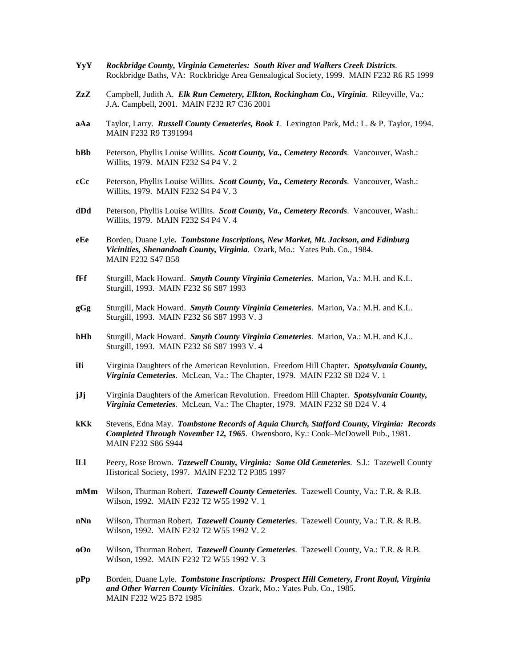- **YyY** *Rockbridge County, Virginia Cemeteries: South River and Walkers Creek Districts*. Rockbridge Baths, VA: Rockbridge Area Genealogical Society, 1999. MAIN F232 R6 R5 1999
- **ZzZ** Campbell, Judith A. *Elk Run Cemetery, Elkton, Rockingham Co., Virginia*. Rileyville, Va.: J.A. Campbell, 2001. MAIN F232 R7 C36 2001
- **aAa** Taylor, Larry. *Russell County Cemeteries, Book 1*. Lexington Park, Md.: L. & P. Taylor, 1994. MAIN F232 R9 T391994
- **bBb** Peterson, Phyllis Louise Willits. *Scott County, Va., Cemetery Records*. Vancouver, Wash.: Willits, 1979. MAIN F232 S4 P4 V. 2
- **cCc** Peterson, Phyllis Louise Willits. *Scott County, Va., Cemetery Records*. Vancouver, Wash.: Willits, 1979. MAIN F232 S4 P4 V. 3
- **dDd** Peterson, Phyllis Louise Willits. *Scott County, Va., Cemetery Records*. Vancouver, Wash.: Willits, 1979. MAIN F232 S4 P4 V. 4
- **eEe** Borden, Duane Lyle*. Tombstone Inscriptions, New Market, Mt. Jackson, and Edinburg Vicinities, Shenandoah County, Virginia*. Ozark, Mo.: Yates Pub. Co., 1984. MAIN F232 S47 B58
- **fFf** Sturgill, Mack Howard. *Smyth County Virginia Cemeteries*. Marion, Va.: M.H. and K.L. Sturgill, 1993. MAIN F232 S6 S87 1993
- **gGg** Sturgill, Mack Howard. *Smyth County Virginia Cemeteries*. Marion, Va.: M.H. and K.L. Sturgill, 1993. MAIN F232 S6 S87 1993 V. 3
- **hHh** Sturgill, Mack Howard. *Smyth County Virginia Cemeteries*. Marion, Va.: M.H. and K.L. Sturgill, 1993. MAIN F232 S6 S87 1993 V. 4
- **iIi** Virginia Daughters of the American Revolution. Freedom Hill Chapter. *Spotsylvania County, Virginia Cemeteries*. McLean, Va.: The Chapter, 1979. MAIN F232 S8 D24 V. 1
- **jJj** Virginia Daughters of the American Revolution. Freedom Hill Chapter. *Spotsylvania County, Virginia Cemeteries*. McLean, Va.: The Chapter, 1979. MAIN F232 S8 D24 V. 4
- **kKk** Stevens, Edna May. *Tombstone Records of Aquia Church, Stafford County, Virginia: Records Completed Through November 12, 1965*. Owensboro, Ky.: Cook–McDowell Pub., 1981. MAIN F232 S86 S944
- **lLl** Peery, Rose Brown. *Tazewell County, Virginia: Some Old Cemeteries*. S.l.: Tazewell County Historical Society, 1997. MAIN F232 T2 P385 1997
- **mMm** Wilson, Thurman Robert. *Tazewell County Cemeteries*. Tazewell County, Va.: T.R. & R.B. Wilson, 1992. MAIN F232 T2 W55 1992 V. 1
- **nNn** Wilson, Thurman Robert. *Tazewell County Cemeteries*. Tazewell County, Va.: T.R. & R.B. Wilson, 1992. MAIN F232 T2 W55 1992 V. 2
- **oOo** Wilson, Thurman Robert. *Tazewell County Cemeteries*. Tazewell County, Va.: T.R. & R.B. Wilson, 1992. MAIN F232 T2 W55 1992 V. 3
- **pPp** Borden, Duane Lyle. *Tombstone Inscriptions: Prospect Hill Cemetery, Front Royal, Virginia and Other Warren County Vicinities*. Ozark, Mo.: Yates Pub. Co., 1985. MAIN F232 W25 B72 1985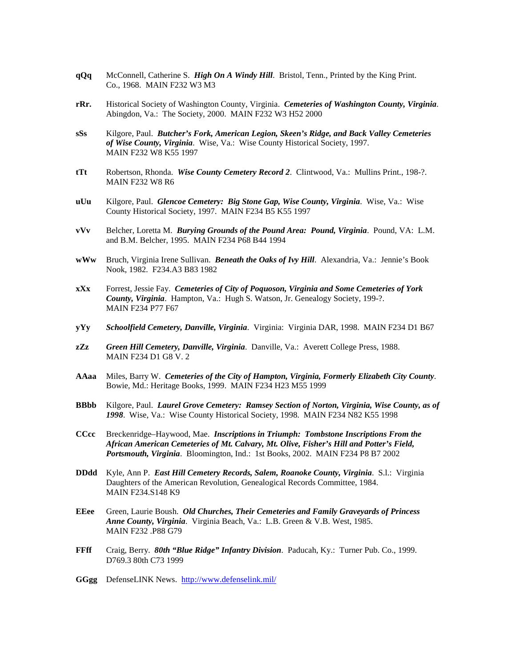- **qQq** McConnell, Catherine S. *High On A Windy Hill*. Bristol, Tenn., Printed by the King Print. Co., 1968. MAIN F232 W3 M3
- **rRr.** Historical Society of Washington County, Virginia. *Cemeteries of Washington County, Virginia*. Abingdon, Va.: The Society, 2000. MAIN F232 W3 H52 2000
- **sSs** Kilgore, Paul. *Butcher's Fork, American Legion, Skeen's Ridge, and Back Valley Cemeteries of Wise County, Virginia*. Wise, Va.: Wise County Historical Society, 1997. MAIN F232 W8 K55 1997
- **tTt** Robertson, Rhonda. *Wise County Cemetery Record 2*. Clintwood, Va.: Mullins Print., 198-?. MAIN F232 W8 R6
- **uUu** Kilgore, Paul. *Glencoe Cemetery: Big Stone Gap, Wise County, Virginia*. Wise, Va.: Wise County Historical Society, 1997. MAIN F234 B5 K55 1997
- **vVv** Belcher, Loretta M. *Burying Grounds of the Pound Area: Pound, Virginia*. Pound, VA: L.M. and B.M. Belcher, 1995. MAIN F234 P68 B44 1994
- **wWw** Bruch, Virginia Irene Sullivan. *Beneath the Oaks of Ivy Hill*. Alexandria, Va.: Jennie's Book Nook, 1982. F234.A3 B83 1982
- **xXx** Forrest, Jessie Fay. *Cemeteries of City of Poquoson, Virginia and Some Cemeteries of York County, Virginia*. Hampton, Va.: Hugh S. Watson, Jr. Genealogy Society, 199-?. MAIN F234 P77 F67
- **yYy** *Schoolfield Cemetery, Danville, Virginia*. Virginia: Virginia DAR, 1998. MAIN F234 D1 B67
- **zZz** *Green Hill Cemetery, Danville, Virginia*. Danville, Va.: Averett College Press, 1988. MAIN F234 D1 G8 V. 2
- **AAaa** Miles, Barry W. *Cemeteries of the City of Hampton, Virginia, Formerly Elizabeth City County*. Bowie, Md.: Heritage Books, 1999. MAIN F234 H23 M55 1999
- **BBbb** Kilgore, Paul. *Laurel Grove Cemetery: Ramsey Section of Norton, Virginia, Wise County, as of 1998*. Wise, Va.: Wise County Historical Society, 1998. MAIN F234 N82 K55 1998
- **CCcc** Breckenridge–Haywood, Mae. *Inscriptions in Triumph: Tombstone Inscriptions From the African American Cemeteries of Mt. Calvary, Mt. Olive, Fisher's Hill and Potter's Field, Portsmouth, Virginia*. Bloomington, Ind.: 1st Books, 2002. MAIN F234 P8 B7 2002
- **DDdd** Kyle, Ann P. *East Hill Cemetery Records, Salem, Roanoke County, Virginia*. S.l.: Virginia Daughters of the American Revolution, Genealogical Records Committee, 1984. MAIN F234.S148 K9
- **EEee** Green, Laurie Boush. *Old Churches, Their Cemeteries and Family Graveyards of Princess Anne County, Virginia*. Virginia Beach, Va.: L.B. Green & V.B. West, 1985. MAIN F232 .P88 G79
- **FFff** Craig, Berry. *80th "Blue Ridge" Infantry Division*. Paducah, Ky.: Turner Pub. Co., 1999. D769.3 80th C73 1999
- **GGgg** DefenseLINK News. <http://www.defenselink.mil/>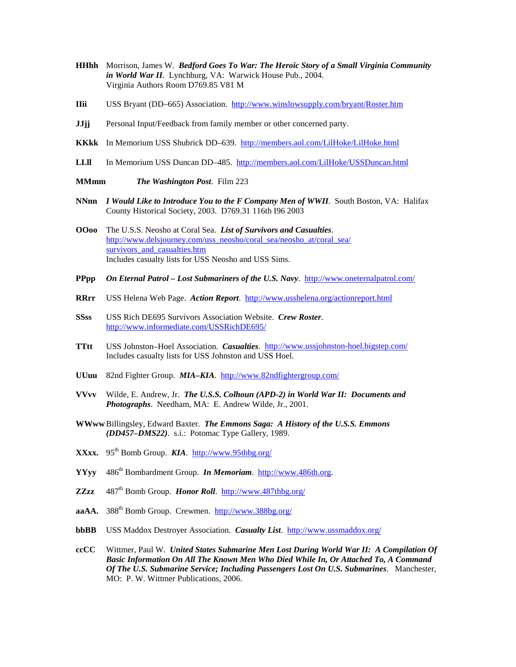- **HHhh** Morrison, James W. *Bedford Goes To War: The Heroic Story of a Small Virginia Community in World War II*. Lynchburg, VA: Warwick House Pub., 2004. Virginia Authors Room D769.85 V81 M
- **IIii** USS Bryant (DD–665) Association. <http://www.winslowsupply.com/bryant/Roster.htm>
- **JJjj** Personal Input/Feedback from family member or other concerned party.
- **KKkk** In Memorium USS Shubrick DD–639.<http://members.aol.com/LilHoke/LilHoke.html>
- **LLll** In Memorium USS Duncan DD–485.<http://members.aol.com/LilHoke/USSDuncan.html>
- **MMmm** *The Washington Post*. Film 223
- **NNnn** *I Would Like to Introduce You to the F Company Men of WWII*. South Boston, VA: Halifax County Historical Society, 2003. D769.31 116th I96 2003
- **OOoo** The U.S.S. Neosho at Coral Sea. *List of Survivors and Casualties*. [http://www.delsjourney.com/uss\\_neosho/coral\\_sea/neosho\\_at/coral\\_sea/](http://www.delsjourney.com/uss_neosho/coral_sea/neosho_at/coral_sea/survivors_and_casualties.htm) survivors and casualties.htm Includes casualty lists for USS Neosho and USS Sims.
- **PPpp** *On Eternal Patrol – Lost Submariners of the U.S. Navy*.<http://www.oneternalpatrol.com/>
- **RRrr** USS Helena Web Page. *Action Report*. <http://www.usshelena.org/actionreport.html>
- **SSss** USS Rich DE695 Survivors Association Website. *Crew Roster*. <http://www.informediate.com/USSRichDE695/>
- **TTtt** USS Johnston–Hoel Association. *Casualties*. <http://www.ussjohnston-hoel.bigstep.com/> Includes casualty lists for USS Johnston and USS Hoel.
- **UUuu** 82nd Fighter Group. *MIA–KIA*. <http://www.82ndfightergroup.com/>
- **VVvv** Wilde, E. Andrew, Jr. *The U.S.S. Colhoun (APD-2) in World War II: Documents and Photographs*. Needham, MA: E. Andrew Wilde, Jr., 2001.
- **WWww** Billingsley, Edward Baxter. *The Emmons Saga: A History of the U.S.S. Emmons (DD457–DMS22)*. s.i.: Potomac Type Gallery, 1989.
- **XXxx.** 95<sup>th</sup> Bomb Group. **KIA**. <http://www.95thbg.org/>
- **YYyy** 486th Bombardment Group. *In Memoriam*. [http://www.486th.org.](http://www.486th.org/)
- **ZZzz** 487th Bomb Group. *Honor Roll*. <http://www.487thbg.org/>
- aaAA. 388<sup>th</sup> Bomb Group. Crewmen. <http://www.388bg.org/>
- **bbBB** USS Maddox Destroyer Association. *Casualty List*. http://www.ussmaddox.org/
- **ccCC** Wittmer, Paul W. *United States Submarine Men Lost During World War II: A Compilation Of Basic Information On All The Known Men Who Died While In, Or Attached To, A Command Of The U.S. Submarine Service; Including Passengers Lost On U.S. Submarines*. Manchester, MO: P. W. Wittmer Publications, 2006.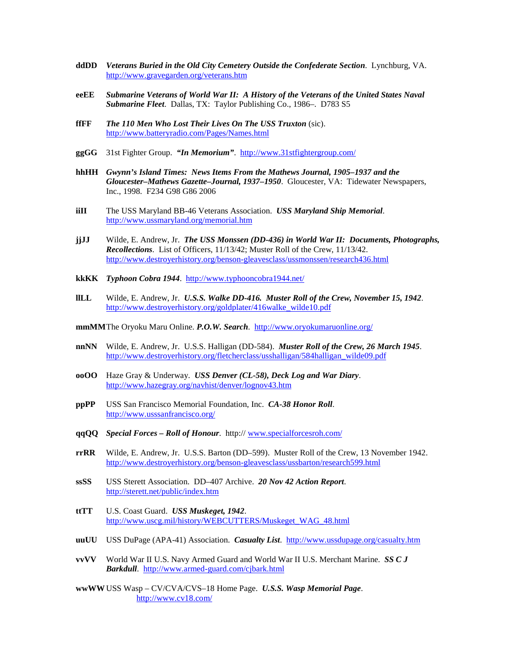- **ddDD** *Veterans Buried in the Old City Cemetery Outside the Confederate Section*. Lynchburg, VA. <http://www.gravegarden.org/veterans.htm>
- **eeEE** *Submarine Veterans of World War II: A History of the Veterans of the United States Naval Submarine Fleet*. Dallas, TX: Taylor Publishing Co., 1986–. D783 S5
- **ffFF** *The 110 Men Who Lost Their Lives On The USS Truxton* (sic). <http://www.batteryradio.com/Pages/Names.html>
- **ggGG** 31st Fighter Group. *"In Memorium"*. <http://www.31stfightergroup.com/>
- **hhHH** *Gwynn's Island Times: News Items From the Mathews Journal, 1905–1937 and the Gloucester–Mathews Gazette–Journal, 1937–1950*. Gloucester, VA: Tidewater Newspapers, Inc., 1998. F234 G98 G86 2006
- **iiII** The USS Maryland BB-46 Veterans Association. *USS Maryland Ship Memorial*. <http://www.ussmaryland.org/memorial.htm>
- **jjJJ** Wilde, E. Andrew, Jr. *The USS Monssen (DD-436) in World War II: Documents, Photographs, Recollections*. List of Officers, 11/13/42; Muster Roll of the Crew, 11/13/42. <http://www.destroyerhistory.org/benson-gleavesclass/ussmonssen/research436.html>
- **kkKK** *Typhoon Cobra 1944*.<http://www.typhooncobra1944.net/>
- **llLL** Wilde, E. Andrew, Jr. *U.S.S. Walke DD-416. Muster Roll of the Crew, November 15, 1942*. [http://www.destroyerhistory.org/goldplater/416walke\\_wilde10.pdf](http://www.destroyerhistory.org/goldplater/416walke_wilde10.pdf)
- **mmMM**The Oryoku Maru Online. *P.O.W. Search*. <http://www.oryokumaruonline.org/>
- **nnNN** Wilde, E. Andrew, Jr. U.S.S. Halligan (DD-584). *Muster Roll of the Crew, 26 March 1945*. [http://www.destroyerhistory.org/fletcherclass/usshalligan/584halligan\\_wilde09.pdf](http://www.destroyerhistory.org/fletcherclass/usshalligan/584halligan_wilde09.pdf)
- **ooOO** Haze Gray & Underway. *USS Denver (CL-58), Deck Log and War Diary*. <http://www.hazegray.org/navhist/denver/lognov43.htm>
- **ppPP** USS San Francisco Memorial Foundation, Inc. *CA-38 Honor Roll*. <http://www.usssanfrancisco.org/>
- **qqQQ** *Special Forces – Roll of Honour*. http:// [www.specialforcesroh.com/](http://www.specialforcesroh.com/)
- **rrRR** Wilde, E. Andrew, Jr. U.S.S. Barton (DD–599). Muster Roll of the Crew, 13 November 1942. <http://www.destroyerhistory.org/benson-gleavesclass/ussbarton/research599.html>
- **ssSS** USS Sterett Association. DD–407 Archive. *20 Nov 42 Action Report*. <http://sterett.net/public/index.htm>
- **ttTT** U.S. Coast Guard. *USS Muskeget, 1942*. [http://www.uscg.mil/history/WEBCUTTERS/Muskeget\\_WAG\\_48.html](http://www.uscg.mil/history/WEBCUTTERS/Muskeget_WAG_48.html)
- **uuUU** USS DuPage (APA-41) Association. *Casualty List*. <http://www.ussdupage.org/casualty.htm>
- **vvVV** World War II U.S. Navy Armed Guard and World War II U.S. Merchant Marine. *SS C J Barkdull*. <http://www.armed-guard.com/cjbark.html>
- **wwWW**USS Wasp CV/CVA/CVS–18 Home Page. *U.S.S. Wasp Memorial Page*. <http://www.cv18.com/>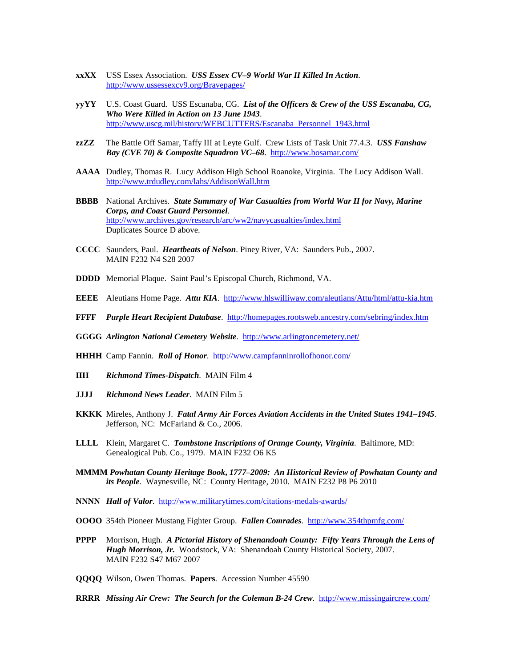- **xxXX** USS Essex Association. *USS Essex CV–9 World War II Killed In Action*. <http://www.ussessexcv9.org/Bravepages/>
- **yyYY** U.S. Coast Guard. USS Escanaba, CG. *List of the Officers & Crew of the USS Escanaba, CG, Who Were Killed in Action on 13 June 1943*. [http://www.uscg.mil/history/WEBCUTTERS/Escanaba\\_Personnel\\_1943.html](http://www.uscg.mil/history/WEBCUTTERS/Escanaba_Personnel_1943.html)
- **zzZZ** The Battle Off Samar, Taffy III at Leyte Gulf. Crew Lists of Task Unit 77.4.3. *USS Fanshaw Bay (CVE 70) & Composite Squadron VC–68*. <http://www.bosamar.com/>
- **AAAA** Dudley, Thomas R. Lucy Addison High School Roanoke, Virginia. The Lucy Addison Wall. <http://www.trdudley.com/lahs/AddisonWall.htm>
- **BBBB** National Archives. *State Summary of War Casualties from World War II for Navy, Marine Corps, and Coast Guard Personnel*. <http://www.archives.gov/research/arc/ww2/navycasualties/index.html> Duplicates Source D above.
- **CCCC** Saunders, Paul. *Heartbeats of Nelson*. Piney River, VA: Saunders Pub., 2007. MAIN F232 N4 S28 2007
- **DDDD** Memorial Plaque. Saint Paul's Episcopal Church, Richmond, VA.
- **EEEE** Aleutians Home Page. *Attu KIA*.<http://www.hlswilliwaw.com/aleutians/Attu/html/attu-kia.htm>
- **FFFF** *Purple Heart Recipient Database*. <http://homepages.rootsweb.ancestry.com/sebring/index.htm>
- **GGGG** *Arlington National Cemetery Website*. <http://www.arlingtoncemetery.net/>
- **HHHH** Camp Fannin. *Roll of Honor*. <http://www.campfanninrollofhonor.com/>
- **IIII** *Richmond Times-Dispatch*. MAIN Film 4
- **JJJJ** *Richmond News Leader*. MAIN Film 5
- **KKKK** Mireles, Anthony J. *Fatal Army Air Forces Aviation Accidents in the United States 1941–1945*. Jefferson, NC: McFarland & Co., 2006.
- **LLLL** Klein, Margaret C. *Tombstone Inscriptions of Orange County, Virginia*. Baltimore, MD: Genealogical Pub. Co., 1979. MAIN F232 O6 K5
- **MMMM** *Powhatan County Heritage Book***,** *1777–2009: An Historical Review of Powhatan County and its People*. Waynesville, NC: County Heritage, 2010. MAIN F232 P8 P6 2010
- **NNNN** *Hall of Valor*.<http://www.militarytimes.com/citations-medals-awards/>
- **OOOO** 354th Pioneer Mustang Fighter Group. *Fallen Comrades*. <http://www.354thpmfg.com/>
- **PPPP** Morrison, Hugh. *A Pictorial History of Shenandoah County: Fifty Years Through the Lens of Hugh Morrison, Jr.* Woodstock, VA: Shenandoah County Historical Society, 2007. MAIN F232 S47 M67 2007
- **QQQQ** Wilson, Owen Thomas. **Papers**. Accession Number 45590
- **RRRR** *Missing Air Crew: The Search for the Coleman B-24 Crew*.<http://www.missingaircrew.com/>